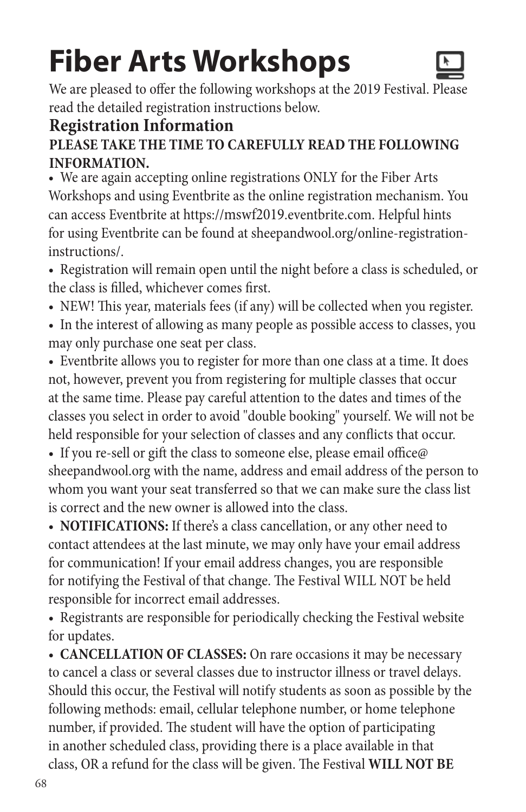# **Fiber Arts Workshops**



We are pleased to offer the following workshops at the 2019 Festival. Please read the detailed registration instructions below.

### **Registration Information**

#### **PLEASE TAKE THE TIME TO CAREFULLY READ THE FOLLOWING INFORMATION.**

• We are again accepting online registrations ONLY for the Fiber Arts Workshops and using Eventbrite as the online registration mechanism. You can access Eventbrite at https://mswf2019.eventbrite.com. Helpful hints for using Eventbrite can be found at sheepandwool.org/online-registrationinstructions/.

• Registration will remain open until the night before a class is scheduled, or the class is filled, whichever comes first.

- NEW! This year, materials fees (if any) will be collected when you register.
- In the interest of allowing as many people as possible access to classes, you may only purchase one seat per class.
- Eventbrite allows you to register for more than one class at a time. It does not, however, prevent you from registering for multiple classes that occur at the same time. Please pay careful attention to the dates and times of the classes you select in order to avoid "double booking" yourself. We will not be held responsible for your selection of classes and any conflicts that occur.

• If you re-sell or gift the class to someone else, please email office@ sheepandwool.org with the name, address and email address of the person to whom you want your seat transferred so that we can make sure the class list is correct and the new owner is allowed into the class.

• **NOTIFICATIONS:** If there's a class cancellation, or any other need to contact attendees at the last minute, we may only have your email address for communication! If your email address changes, you are responsible for notifying the Festival of that change. The Festival WILL NOT be held responsible for incorrect email addresses.

• Registrants are responsible for periodically checking the Festival website for updates.

• **CANCELLATION OF CLASSES:** On rare occasions it may be necessary to cancel a class or several classes due to instructor illness or travel delays. Should this occur, the Festival will notify students as soon as possible by the following methods: email, cellular telephone number, or home telephone number, if provided. The student will have the option of participating in another scheduled class, providing there is a place available in that class, OR a refund for the class will be given. The Festival **WILL NOT BE**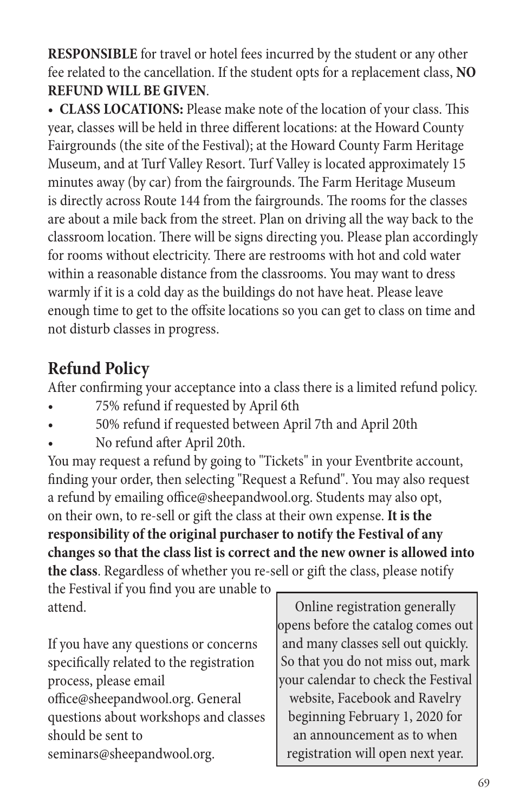**RESPONSIBLE** for travel or hotel fees incurred by the student or any other fee related to the cancellation. If the student opts for a replacement class, **NO REFUND WILL BE GIVEN**.

• **CLASS LOCATIONS:** Please make note of the location of your class. This year, classes will be held in three different locations: at the Howard County Fairgrounds (the site of the Festival); at the Howard County Farm Heritage Museum, and at Turf Valley Resort. Turf Valley is located approximately 15 minutes away (by car) from the fairgrounds. The Farm Heritage Museum is directly across Route 144 from the fairgrounds. The rooms for the classes are about a mile back from the street. Plan on driving all the way back to the classroom location. There will be signs directing you. Please plan accordingly for rooms without electricity. There are restrooms with hot and cold water within a reasonable distance from the classrooms. You may want to dress warmly if it is a cold day as the buildings do not have heat. Please leave enough time to get to the offsite locations so you can get to class on time and not disturb classes in progress.

### **Refund Policy**

After confirming your acceptance into a class there is a limited refund policy.

- 75% refund if requested by April 6th
- 50% refund if requested between April 7th and April 20th
- No refund after April 20th.

You may request a refund by going to "Tickets" in your Eventbrite account, finding your order, then selecting "Request a Refund". You may also request a refund by emailing office@sheepandwool.org. Students may also opt, on their own, to re-sell or gift the class at their own expense. **It is the responsibility of the original purchaser to notify the Festival of any changes so that the class list is correct and the new owner is allowed into the class**. Regardless of whether you re-sell or gift the class, please notify

the Festival if you find you are unable to attend.

If you have any questions or concerns specifically related to the registration process, please email office@sheepandwool.org. General questions about workshops and classes should be sent to seminars@sheepandwool.org.

Online registration generally opens before the catalog comes out and many classes sell out quickly. So that you do not miss out, mark your calendar to check the Festival website, Facebook and Ravelry beginning February 1, 2020 for an announcement as to when registration will open next year.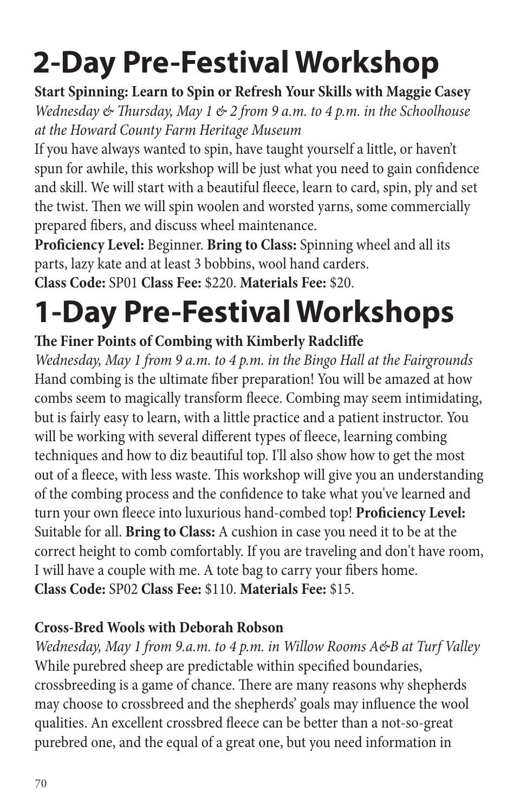**Start Spinning: Learn to Spin or Refresh Your Skills with Maggie Casey** *Wednesday & Thursday, May 1 & 2 from 9 a.m. to 4 p.m. in the Schoolhouse at the Howard County Farm Heritage Museum*

If you have always wanted to spin, have taught yourself a little, or haven't spun for awhile, this workshop will be just what you need to gain confidence and skill. We will start with a beautiful fleece, learn to card, spin, ply and set the twist. Then we will spin woolen and worsted yarns, some commercially prepared fibers, and discuss wheel maintenance.

**Proficiency Level:** Beginner. **Bring to Class:** Spinning wheel and all its parts, lazy kate and at least 3 bobbins, wool hand carders. **Class Code:** SP01 **Class Fee:** \$220. **Materials Fee:** \$20.

# **1-Day Pre-Festival Workshops**

### **The Finer Points of Combing with Kimberly Radcliffe**

*Wednesday, May 1 from 9 a.m. to 4 p.m. in the Bingo Hall at the Fairgrounds* Hand combing is the ultimate fiber preparation! You will be amazed at how combs seem to magically transform fleece. Combing may seem intimidating, but is fairly easy to learn, with a little practice and a patient instructor. You will be working with several different types of fleece, learning combing techniques and how to diz beautiful top. I'll also show how to get the most out of a fleece, with less waste. This workshop will give you an understanding of the combing process and the confidence to take what you've learned and turn your own fleece into luxurious hand-combed top! **Proficiency Level:** Suitable for all. **Bring to Class:** A cushion in case you need it to be at the correct height to comb comfortably. If you are traveling and don't have room, I will have a couple with me. A tote bag to carry your fibers home. **Class Code:** SP02 **Class Fee:** \$110. **Materials Fee:** \$15.

### **Cross-Bred Wools with Deborah Robson**

*Wednesday, May 1 from 9.a.m. to 4 p.m. in Willow Rooms A&B at Turf Valley* While purebred sheep are predictable within specified boundaries, crossbreeding is a game of chance. There are many reasons why shepherds may choose to crossbreed and the shepherds' goals may influence the wool qualities. An excellent crossbred fleece can be better than a not-so-great purebred one, and the equal of a great one, but you need information in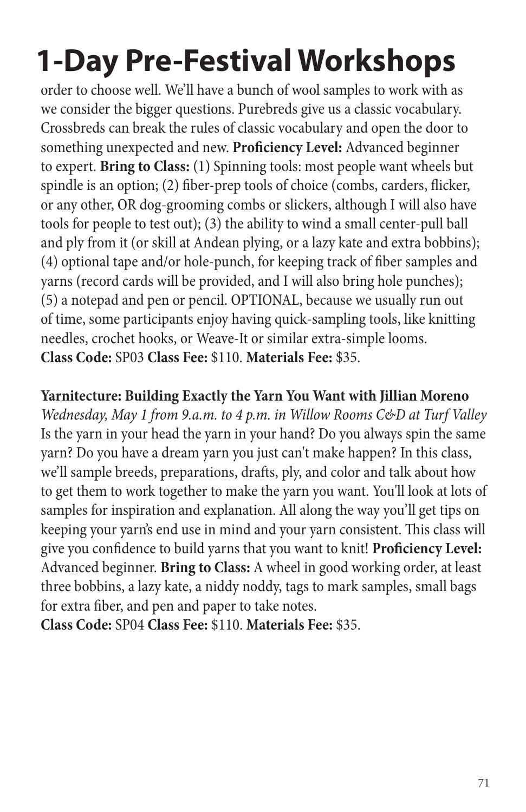order to choose well. We'll have a bunch of wool samples to work with as we consider the bigger questions. Purebreds give us a classic vocabulary. Crossbreds can break the rules of classic vocabulary and open the door to something unexpected and new. **Proficiency Level:** Advanced beginner to expert. **Bring to Class:** (1) Spinning tools: most people want wheels but spindle is an option; (2) fiber-prep tools of choice (combs, carders, flicker, or any other, OR dog-grooming combs or slickers, although I will also have tools for people to test out); (3) the ability to wind a small center-pull ball and ply from it (or skill at Andean plying, or a lazy kate and extra bobbins); (4) optional tape and/or hole-punch, for keeping track of fiber samples and yarns (record cards will be provided, and I will also bring hole punches); (5) a notepad and pen or pencil. OPTIONAL, because we usually run out of time, some participants enjoy having quick-sampling tools, like knitting needles, crochet hooks, or Weave-It or similar extra-simple looms. **Class Code:** SP03 **Class Fee:** \$110. **Materials Fee:** \$35.

#### **Yarnitecture: Building Exactly the Yarn You Want with Jillian Moreno**

*Wednesday, May 1 from 9.a.m. to 4 p.m. in Willow Rooms C&D at Turf Valley* Is the yarn in your head the yarn in your hand? Do you always spin the same yarn? Do you have a dream yarn you just can't make happen? In this class, we'll sample breeds, preparations, drafts, ply, and color and talk about how to get them to work together to make the yarn you want. You'll look at lots of samples for inspiration and explanation. All along the way you'll get tips on keeping your yarn's end use in mind and your yarn consistent. This class will give you confidence to build yarns that you want to knit! **Proficiency Level:**  Advanced beginner. **Bring to Class:** A wheel in good working order, at least three bobbins, a lazy kate, a niddy noddy, tags to mark samples, small bags for extra fiber, and pen and paper to take notes.

**Class Code:** SP04 **Class Fee:** \$110. **Materials Fee:** \$35.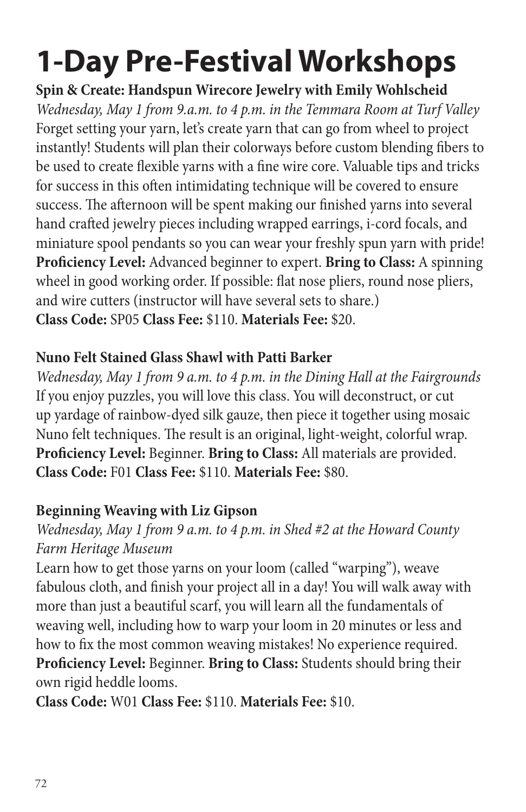**Spin & Create: Handspun Wirecore Jewelry with Emily Wohlscheid** *Wednesday, May 1 from 9.a.m. to 4 p.m. in the Temmara Room at Turf Valley* Forget setting your yarn, let's create yarn that can go from wheel to project instantly! Students will plan their colorways before custom blending fibers to be used to create flexible yarns with a fine wire core. Valuable tips and tricks for success in this often intimidating technique will be covered to ensure success. The afternoon will be spent making our finished yarns into several hand crafted jewelry pieces including wrapped earrings, i-cord focals, and miniature spool pendants so you can wear your freshly spun yarn with pride! **Proficiency Level:** Advanced beginner to expert. **Bring to Class:** A spinning wheel in good working order. If possible: flat nose pliers, round nose pliers, and wire cutters (instructor will have several sets to share.) **Class Code:** SP05 **Class Fee:** \$110. **Materials Fee:** \$20.

### **Nuno Felt Stained Glass Shawl with Patti Barker**

*Wednesday, May 1 from 9 a.m. to 4 p.m. in the Dining Hall at the Fairgrounds* If you enjoy puzzles, you will love this class. You will deconstruct, or cut up yardage of rainbow-dyed silk gauze, then piece it together using mosaic Nuno felt techniques. The result is an original, light-weight, colorful wrap. **Proficiency Level:** Beginner. **Bring to Class:** All materials are provided. **Class Code:** F01 **Class Fee:** \$110. **Materials Fee:** \$80.

### **Beginning Weaving with Liz Gipson**

### *Wednesday, May 1 from 9 a.m. to 4 p.m. in Shed #2 at the Howard County Farm Heritage Museum*

Learn how to get those yarns on your loom (called "warping"), weave fabulous cloth, and finish your project all in a day! You will walk away with more than just a beautiful scarf, you will learn all the fundamentals of weaving well, including how to warp your loom in 20 minutes or less and how to fix the most common weaving mistakes! No experience required. **Proficiency Level:** Beginner. **Bring to Class:** Students should bring their own rigid heddle looms.

**Class Code:** W01 **Class Fee:** \$110. **Materials Fee:** \$10.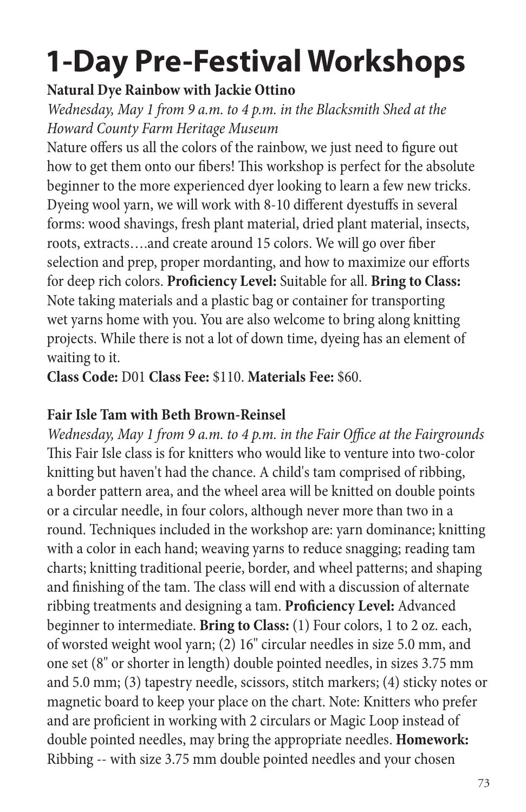#### **Natural Dye Rainbow with Jackie Ottino**

*Wednesday, May 1 from 9 a.m. to 4 p.m. in the Blacksmith Shed at the Howard County Farm Heritage Museum*

Nature offers us all the colors of the rainbow, we just need to figure out how to get them onto our fibers! This workshop is perfect for the absolute beginner to the more experienced dyer looking to learn a few new tricks. Dyeing wool yarn, we will work with 8-10 different dyestuffs in several forms: wood shavings, fresh plant material, dried plant material, insects, roots, extracts….and create around 15 colors. We will go over fiber selection and prep, proper mordanting, and how to maximize our efforts for deep rich colors. **Proficiency Level:** Suitable for all. **Bring to Class:** Note taking materials and a plastic bag or container for transporting wet yarns home with you. You are also welcome to bring along knitting projects. While there is not a lot of down time, dyeing has an element of waiting to it.

**Class Code:** D01 **Class Fee:** \$110. **Materials Fee:** \$60.

#### **Fair Isle Tam with Beth Brown-Reinsel**

*Wednesday, May 1 from 9 a.m. to 4 p.m. in the Fair Office at the Fairgrounds* This Fair Isle class is for knitters who would like to venture into two-color knitting but haven't had the chance. A child's tam comprised of ribbing, a border pattern area, and the wheel area will be knitted on double points or a circular needle, in four colors, although never more than two in a round. Techniques included in the workshop are: yarn dominance; knitting with a color in each hand; weaving yarns to reduce snagging; reading tam charts; knitting traditional peerie, border, and wheel patterns; and shaping and finishing of the tam. The class will end with a discussion of alternate ribbing treatments and designing a tam. **Proficiency Level:** Advanced beginner to intermediate. **Bring to Class:** (1) Four colors, 1 to 2 oz. each, of worsted weight wool yarn; (2) 16" circular needles in size 5.0 mm, and one set (8" or shorter in length) double pointed needles, in sizes 3.75 mm and 5.0 mm; (3) tapestry needle, scissors, stitch markers; (4) sticky notes or magnetic board to keep your place on the chart. Note: Knitters who prefer and are proficient in working with 2 circulars or Magic Loop instead of double pointed needles, may bring the appropriate needles. **Homework:** Ribbing -- with size 3.75 mm double pointed needles and your chosen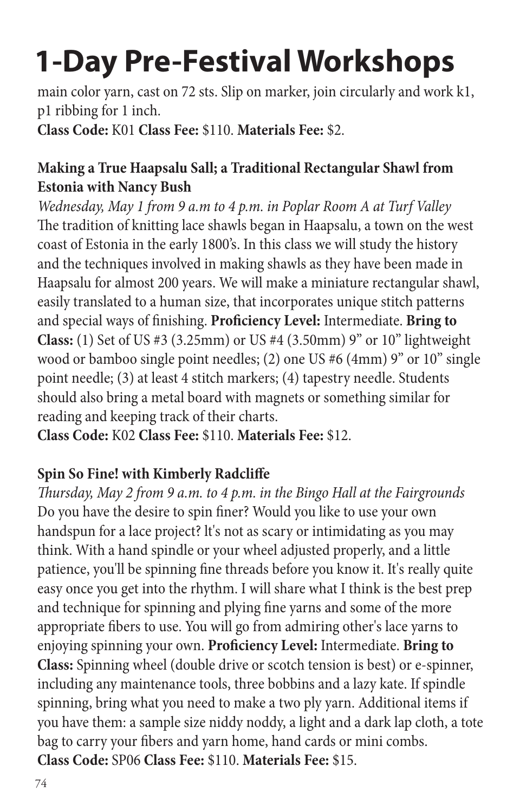main color yarn, cast on 72 sts. Slip on marker, join circularly and work k1, p1 ribbing for 1 inch.

**Class Code:** K01 **Class Fee:** \$110. **Materials Fee:** \$2.

#### **Making a True Haapsalu Sall; a Traditional Rectangular Shawl from Estonia with Nancy Bush**

*Wednesday, May 1 from 9 a.m to 4 p.m. in Poplar Room A at Turf Valley* The tradition of knitting lace shawls began in Haapsalu, a town on the west coast of Estonia in the early 1800's. In this class we will study the history and the techniques involved in making shawls as they have been made in Haapsalu for almost 200 years. We will make a miniature rectangular shawl, easily translated to a human size, that incorporates unique stitch patterns and special ways of finishing. **Proficiency Level:** Intermediate. **Bring to Class:** (1) Set of US #3 (3.25mm) or US #4 (3.50mm) 9" or 10" lightweight wood or bamboo single point needles; (2) one US #6 (4mm) 9" or 10" single point needle; (3) at least 4 stitch markers; (4) tapestry needle. Students should also bring a metal board with magnets or something similar for reading and keeping track of their charts.

**Class Code:** K02 **Class Fee:** \$110. **Materials Fee:** \$12.

### **Spin So Fine! with Kimberly Radcliffe**

*Thursday, May 2 from 9 a.m. to 4 p.m. in the Bingo Hall at the Fairgrounds* Do you have the desire to spin finer? Would you like to use your own handspun for a lace project? lt's not as scary or intimidating as you may think. With a hand spindle or your wheel adjusted properly, and a little patience, you'll be spinning fine threads before you know it. It's really quite easy once you get into the rhythm. I will share what I think is the best prep and technique for spinning and plying fine yarns and some of the more appropriate fibers to use. You will go from admiring other's lace yarns to enjoying spinning your own. **Proficiency Level:** Intermediate. **Bring to Class:** Spinning wheel (double drive or scotch tension is best) or e-spinner, including any maintenance tools, three bobbins and a lazy kate. If spindle spinning, bring what you need to make a two ply yarn. Additional items if you have them: a sample size niddy noddy, a light and a dark lap cloth, a tote bag to carry your fibers and yarn home, hand cards or mini combs. **Class Code:** SP06 **Class Fee:** \$110. **Materials Fee:** \$15.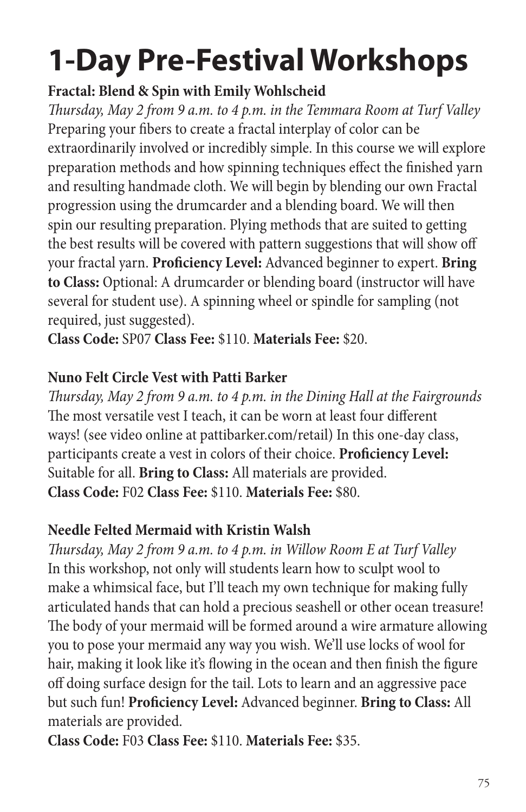### **Fractal: Blend & Spin with Emily Wohlscheid**

*Thursday, May 2 from 9 a.m. to 4 p.m. in the Temmara Room at Turf Valley* Preparing your fibers to create a fractal interplay of color can be extraordinarily involved or incredibly simple. In this course we will explore preparation methods and how spinning techniques effect the finished yarn and resulting handmade cloth. We will begin by blending our own Fractal progression using the drumcarder and a blending board. We will then spin our resulting preparation. Plying methods that are suited to getting the best results will be covered with pattern suggestions that will show off your fractal yarn. **Proficiency Level:** Advanced beginner to expert. **Bring to Class:** Optional: A drumcarder or blending board (instructor will have several for student use). A spinning wheel or spindle for sampling (not required, just suggested).

**Class Code:** SP07 **Class Fee:** \$110. **Materials Fee:** \$20.

### **Nuno Felt Circle Vest with Patti Barker**

*Thursday, May 2 from 9 a.m. to 4 p.m. in the Dining Hall at the Fairgrounds* The most versatile vest I teach, it can be worn at least four different ways! (see video online at pattibarker.com/retail) In this one-day class, participants create a vest in colors of their choice. **Proficiency Level:**  Suitable for all. **Bring to Class:** All materials are provided. **Class Code:** F02 **Class Fee:** \$110. **Materials Fee:** \$80.

### **Needle Felted Mermaid with Kristin Walsh**

*Thursday, May 2 from 9 a.m. to 4 p.m. in Willow Room E at Turf Valley* In this workshop, not only will students learn how to sculpt wool to make a whimsical face, but I'll teach my own technique for making fully articulated hands that can hold a precious seashell or other ocean treasure! The body of your mermaid will be formed around a wire armature allowing you to pose your mermaid any way you wish. We'll use locks of wool for hair, making it look like it's flowing in the ocean and then finish the figure off doing surface design for the tail. Lots to learn and an aggressive pace but such fun! **Proficiency Level:** Advanced beginner. **Bring to Class:** All materials are provided.

**Class Code:** F03 **Class Fee:** \$110. **Materials Fee:** \$35.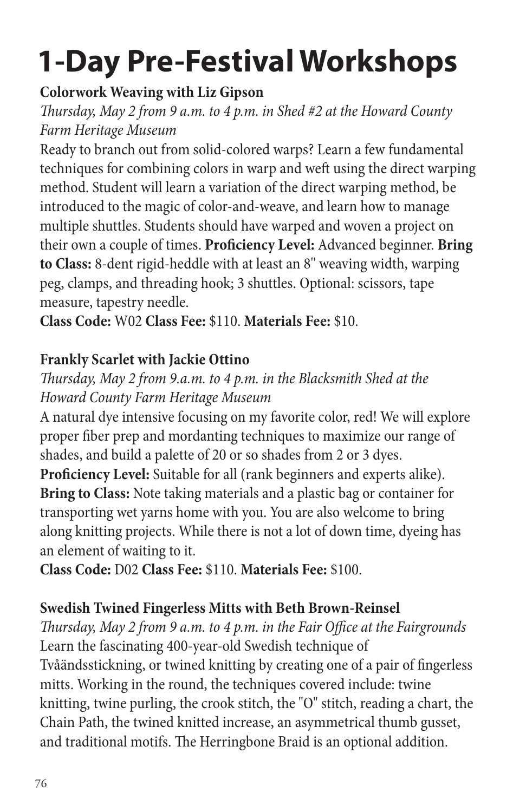### **Colorwork Weaving with Liz Gipson**

*Thursday, May 2 from 9 a.m. to 4 p.m. in Shed #2 at the Howard County Farm Heritage Museum*

Ready to branch out from solid-colored warps? Learn a few fundamental techniques for combining colors in warp and weft using the direct warping method. Student will learn a variation of the direct warping method, be introduced to the magic of color-and-weave, and learn how to manage multiple shuttles. Students should have warped and woven a project on their own a couple of times. **Proficiency Level:** Advanced beginner. **Bring to Class:** 8-dent rigid-heddle with at least an 8'' weaving width, warping peg, clamps, and threading hook; 3 shuttles. Optional: scissors, tape measure, tapestry needle.

**Class Code:** W02 **Class Fee:** \$110. **Materials Fee:** \$10.

### **Frankly Scarlet with Jackie Ottino**

*Thursday, May 2 from 9.a.m. to 4 p.m. in the Blacksmith Shed at the Howard County Farm Heritage Museum*

A natural dye intensive focusing on my favorite color, red! We will explore proper fiber prep and mordanting techniques to maximize our range of shades, and build a palette of 20 or so shades from 2 or 3 dyes.

**Proficiency Level:** Suitable for all (rank beginners and experts alike). **Bring to Class:** Note taking materials and a plastic bag or container for transporting wet yarns home with you. You are also welcome to bring along knitting projects. While there is not a lot of down time, dyeing has an element of waiting to it.

**Class Code:** D02 **Class Fee:** \$110. **Materials Fee:** \$100.

### **Swedish Twined Fingerless Mitts with Beth Brown-Reinsel**

*Thursday, May 2 from 9 a.m. to 4 p.m. in the Fair Office at the Fairgrounds* Learn the fascinating 400-year-old Swedish technique of Tvåändsstickning, or twined knitting by creating one of a pair of fingerless mitts. Working in the round, the techniques covered include: twine knitting, twine purling, the crook stitch, the "O" stitch, reading a chart, the Chain Path, the twined knitted increase, an asymmetrical thumb gusset, and traditional motifs. The Herringbone Braid is an optional addition.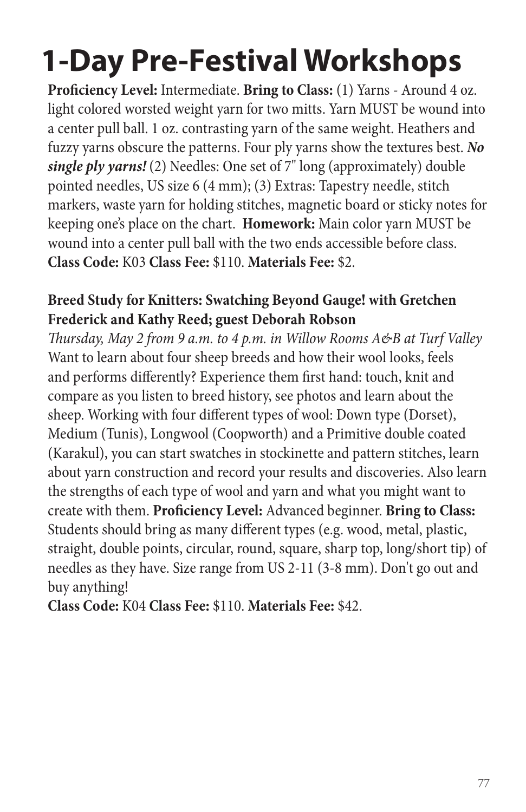**Proficiency Level:** Intermediate. **Bring to Class:** (1) Yarns - Around 4 oz. light colored worsted weight yarn for two mitts. Yarn MUST be wound into a center pull ball. 1 oz. contrasting yarn of the same weight. Heathers and fuzzy yarns obscure the patterns. Four ply yarns show the textures best. *No single ply yarns!* (2) Needles: One set of 7" long (approximately) double pointed needles, US size 6 (4 mm); (3) Extras: Tapestry needle, stitch markers, waste yarn for holding stitches, magnetic board or sticky notes for keeping one's place on the chart. **Homework:** Main color yarn MUST be wound into a center pull ball with the two ends accessible before class. **Class Code:** K03 **Class Fee:** \$110. **Materials Fee:** \$2.

#### **Breed Study for Knitters: Swatching Beyond Gauge! with Gretchen Frederick and Kathy Reed; guest Deborah Robson**

*Thursday, May 2 from 9 a.m. to 4 p.m. in Willow Rooms A&B at Turf Valley* Want to learn about four sheep breeds and how their wool looks, feels and performs differently? Experience them first hand: touch, knit and compare as you listen to breed history, see photos and learn about the sheep. Working with four different types of wool: Down type (Dorset), Medium (Tunis), Longwool (Coopworth) and a Primitive double coated (Karakul), you can start swatches in stockinette and pattern stitches, learn about yarn construction and record your results and discoveries. Also learn the strengths of each type of wool and yarn and what you might want to create with them. **Proficiency Level:** Advanced beginner. **Bring to Class:** Students should bring as many different types (e.g. wood, metal, plastic, straight, double points, circular, round, square, sharp top, long/short tip) of needles as they have. Size range from US 2-11 (3-8 mm). Don't go out and buy anything!

**Class Code:** K04 **Class Fee:** \$110. **Materials Fee:** \$42.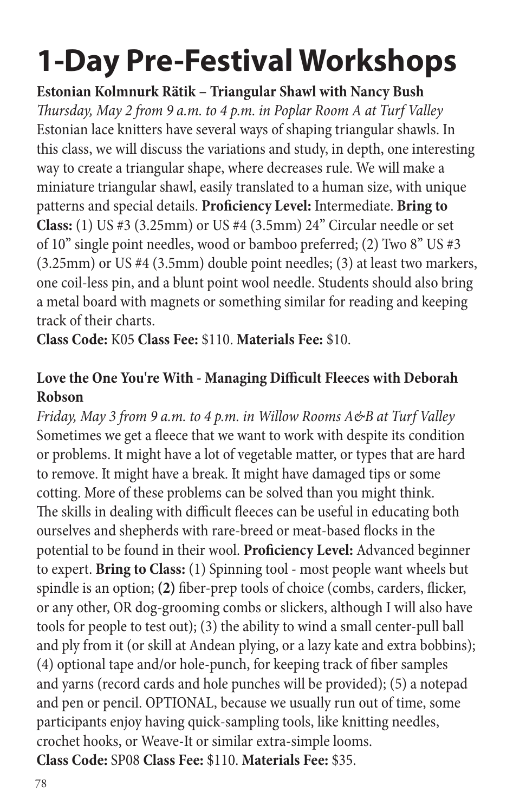**Estonian Kolmnurk Rätik – Triangular Shawl with Nancy Bush** *Thursday, May 2 from 9 a.m. to 4 p.m. in Poplar Room A at Turf Valley* Estonian lace knitters have several ways of shaping triangular shawls. In this class, we will discuss the variations and study, in depth, one interesting way to create a triangular shape, where decreases rule. We will make a miniature triangular shawl, easily translated to a human size, with unique patterns and special details. **Proficiency Level:** Intermediate. **Bring to Class:** (1) US #3 (3.25mm) or US #4 (3.5mm) 24" Circular needle or set of 10" single point needles, wood or bamboo preferred; (2) Two 8" US #3 (3.25mm) or US #4 (3.5mm) double point needles; (3) at least two markers, one coil-less pin, and a blunt point wool needle. Students should also bring a metal board with magnets or something similar for reading and keeping track of their charts.

**Class Code:** K05 **Class Fee:** \$110. **Materials Fee:** \$10.

### **Love the One You're With - Managing Difficult Fleeces with Deborah Robson**

*Friday, May 3 from 9 a.m. to 4 p.m. in Willow Rooms A&B at Turf Valley* Sometimes we get a fleece that we want to work with despite its condition or problems. It might have a lot of vegetable matter, or types that are hard to remove. It might have a break. It might have damaged tips or some cotting. More of these problems can be solved than you might think. The skills in dealing with difficult fleeces can be useful in educating both ourselves and shepherds with rare-breed or meat-based flocks in the potential to be found in their wool. **Proficiency Level:** Advanced beginner to expert. **Bring to Class:** (1) Spinning tool - most people want wheels but spindle is an option; **(2)** fiber-prep tools of choice (combs, carders, flicker, or any other, OR dog-grooming combs or slickers, although I will also have tools for people to test out); (3) the ability to wind a small center-pull ball and ply from it (or skill at Andean plying, or a lazy kate and extra bobbins); (4) optional tape and/or hole-punch, for keeping track of fiber samples and yarns (record cards and hole punches will be provided); (5) a notepad and pen or pencil. OPTIONAL, because we usually run out of time, some participants enjoy having quick-sampling tools, like knitting needles, crochet hooks, or Weave-It or similar extra-simple looms. **Class Code:** SP08 **Class Fee:** \$110. **Materials Fee:** \$35.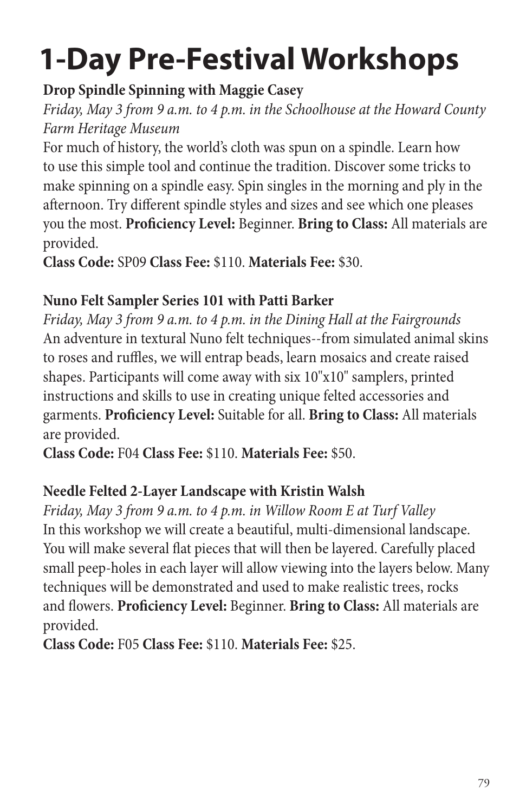### **Drop Spindle Spinning with Maggie Casey**

*Friday, May 3 from 9 a.m. to 4 p.m. in the Schoolhouse at the Howard County Farm Heritage Museum*

For much of history, the world's cloth was spun on a spindle. Learn how to use this simple tool and continue the tradition. Discover some tricks to make spinning on a spindle easy. Spin singles in the morning and ply in the afternoon. Try different spindle styles and sizes and see which one pleases you the most. **Proficiency Level:** Beginner. **Bring to Class:** All materials are provided.

**Class Code:** SP09 **Class Fee:** \$110. **Materials Fee:** \$30.

### **Nuno Felt Sampler Series 101 with Patti Barker**

*Friday, May 3 from 9 a.m. to 4 p.m. in the Dining Hall at the Fairgrounds* An adventure in textural Nuno felt techniques--from simulated animal skins to roses and ruffles, we will entrap beads, learn mosaics and create raised shapes. Participants will come away with six 10"x10" samplers, printed instructions and skills to use in creating unique felted accessories and garments. **Proficiency Level:** Suitable for all. **Bring to Class:** All materials are provided.

**Class Code:** F04 **Class Fee:** \$110. **Materials Fee:** \$50.

### **Needle Felted 2-Layer Landscape with Kristin Walsh**

*Friday, May 3 from 9 a.m. to 4 p.m. in Willow Room E at Turf Valley* In this workshop we will create a beautiful, multi-dimensional landscape. You will make several flat pieces that will then be layered. Carefully placed small peep-holes in each layer will allow viewing into the layers below. Many techniques will be demonstrated and used to make realistic trees, rocks and flowers. **Proficiency Level:** Beginner. **Bring to Class:** All materials are provided.

**Class Code:** F05 **Class Fee:** \$110. **Materials Fee:** \$25.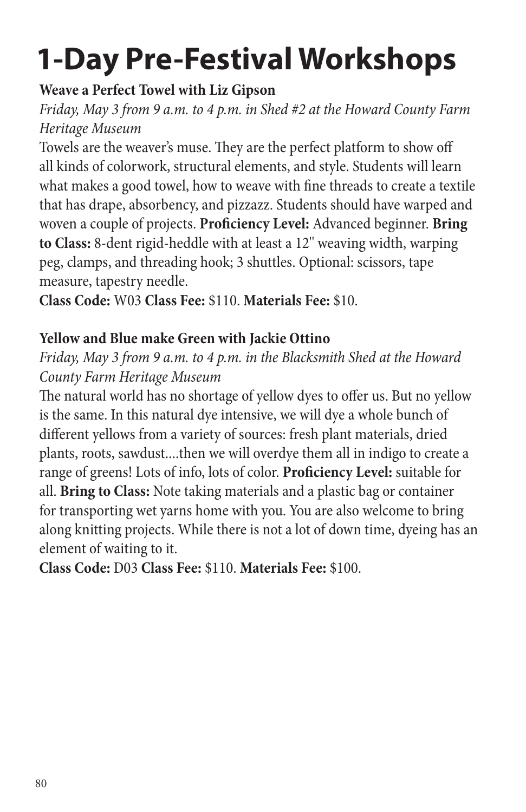#### **Weave a Perfect Towel with Liz Gipson**

*Friday, May 3 from 9 a.m. to 4 p.m. in Shed #2 at the Howard County Farm Heritage Museum*

Towels are the weaver's muse. They are the perfect platform to show off all kinds of colorwork, structural elements, and style. Students will learn what makes a good towel, how to weave with fine threads to create a textile that has drape, absorbency, and pizzazz. Students should have warped and woven a couple of projects. **Proficiency Level:** Advanced beginner. **Bring to Class:** 8-dent rigid-heddle with at least a 12'' weaving width, warping peg, clamps, and threading hook; 3 shuttles. Optional: scissors, tape measure, tapestry needle.

**Class Code:** W03 **Class Fee:** \$110. **Materials Fee:** \$10.

#### **Yellow and Blue make Green with Jackie Ottino**

*Friday, May 3 from 9 a.m. to 4 p.m. in the Blacksmith Shed at the Howard County Farm Heritage Museum*

The natural world has no shortage of yellow dyes to offer us. But no yellow is the same. In this natural dye intensive, we will dye a whole bunch of different yellows from a variety of sources: fresh plant materials, dried plants, roots, sawdust....then we will overdye them all in indigo to create a range of greens! Lots of info, lots of color. **Proficiency Level:** suitable for all. **Bring to Class:** Note taking materials and a plastic bag or container for transporting wet yarns home with you. You are also welcome to bring along knitting projects. While there is not a lot of down time, dyeing has an element of waiting to it.

**Class Code:** D03 **Class Fee:** \$110. **Materials Fee:** \$100.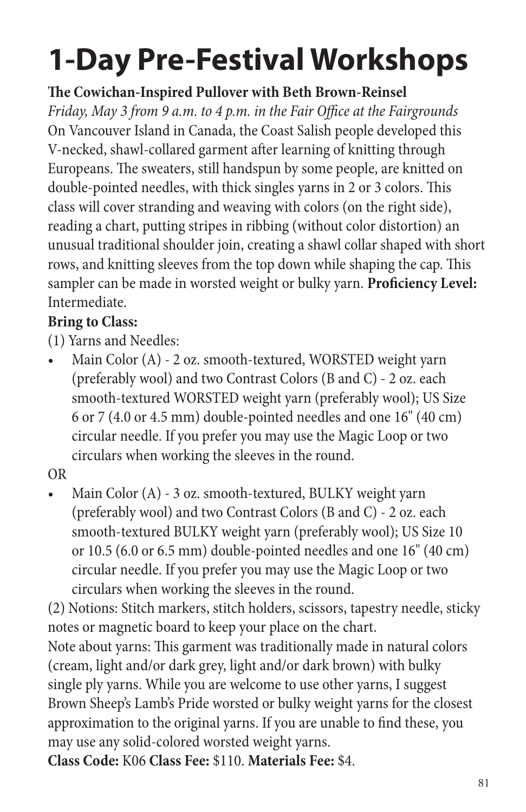### **The Cowichan-Inspired Pullover with Beth Brown-Reinsel**

*Friday, May 3 from 9 a.m. to 4 p.m. in the Fair Office at the Fairgrounds* On Vancouver Island in Canada, the Coast Salish people developed this V-necked, shawl-collared garment after learning of knitting through Europeans. The sweaters, still handspun by some people, are knitted on double-pointed needles, with thick singles yarns in 2 or 3 colors. This class will cover stranding and weaving with colors (on the right side), reading a chart, putting stripes in ribbing (without color distortion) an unusual traditional shoulder join, creating a shawl collar shaped with short rows, and knitting sleeves from the top down while shaping the cap. This sampler can be made in worsted weight or bulky yarn. **Proficiency Level:** Intermediate.

### **Bring to Class:**

(1) Yarns and Needles:

• Main Color (A) - 2 oz. smooth-textured, WORSTED weight yarn (preferably wool) and two Contrast Colors (B and C) - 2 oz. each smooth-textured WORSTED weight yarn (preferably wool); US Size 6 or 7 (4.0 or 4.5 mm) double-pointed needles and one 16" (40 cm) circular needle. If you prefer you may use the Magic Loop or two circulars when working the sleeves in the round.

OR

• Main Color (A) - 3 oz. smooth-textured, BULKY weight yarn (preferably wool) and two Contrast Colors (B and C) - 2 oz. each smooth-textured BULKY weight yarn (preferably wool); US Size 10 or 10.5 (6.0 or 6.5 mm) double-pointed needles and one 16" (40 cm) circular needle. If you prefer you may use the Magic Loop or two circulars when working the sleeves in the round.

(2) Notions: Stitch markers, stitch holders, scissors, tapestry needle, sticky notes or magnetic board to keep your place on the chart. Note about yarns: This garment was traditionally made in natural colors (cream, light and/or dark grey, light and/or dark brown) with bulky single ply yarns. While you are welcome to use other yarns, I suggest Brown Sheep's Lamb's Pride worsted or bulky weight yarns for the closest approximation to the original yarns. If you are unable to find these, you may use any solid-colored worsted weight yarns. **Class Code:** K06 **Class Fee:** \$110. **Materials Fee:** \$4.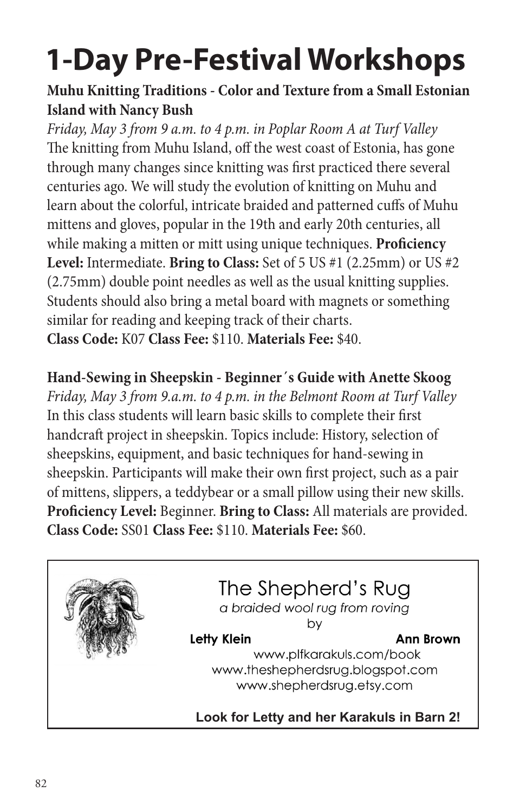### **Muhu Knitting Traditions - Color and Texture from a Small Estonian Island with Nancy Bush**

*Friday, May 3 from 9 a.m. to 4 p.m. in Poplar Room A at Turf Valley* The knitting from Muhu Island, off the west coast of Estonia, has gone through many changes since knitting was first practiced there several centuries ago. We will study the evolution of knitting on Muhu and learn about the colorful, intricate braided and patterned cuffs of Muhu mittens and gloves, popular in the 19th and early 20th centuries, all while making a mitten or mitt using unique techniques. **Proficiency Level:** Intermediate. **Bring to Class:** Set of 5 US #1 (2.25mm) or US #2 (2.75mm) double point needles as well as the usual knitting supplies. Students should also bring a metal board with magnets or something similar for reading and keeping track of their charts. **Class Code:** K07 **Class Fee:** \$110. **Materials Fee:** \$40.

### **Hand-Sewing in Sheepskin - Beginner´s Guide with Anette Skoog**

*Friday, May 3 from 9.a.m. to 4 p.m. in the Belmont Room at Turf Valley* In this class students will learn basic skills to complete their first handcraft project in sheepskin. Topics include: History, selection of sheepskins, equipment, and basic techniques for hand-sewing in sheepskin. Participants will make their own first project, such as a pair of mittens, slippers, a teddybear or a small pillow using their new skills. **Proficiency Level:** Beginner. **Bring to Class:** All materials are provided. **Class Code:** SS01 **Class Fee:** \$110. **Materials Fee:** \$60.

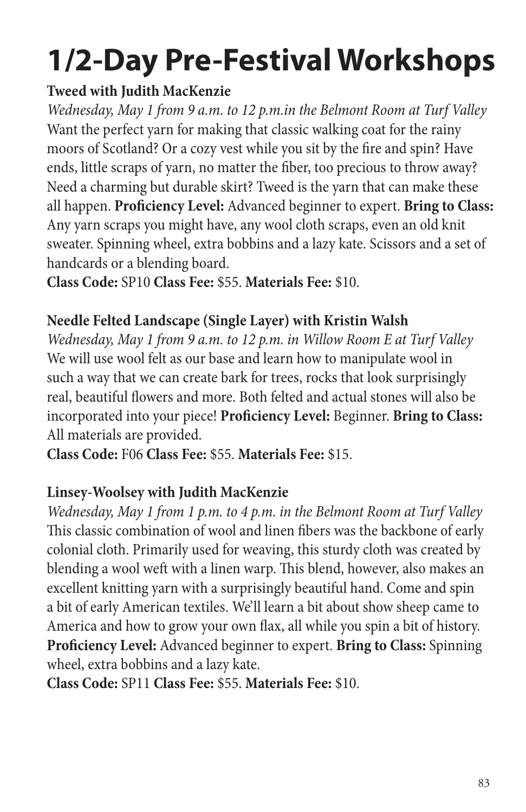### **Tweed with Judith MacKenzie**

*Wednesday, May 1 from 9 a.m. to 12 p.m.in the Belmont Room at Turf Valley* Want the perfect yarn for making that classic walking coat for the rainy moors of Scotland? Or a cozy vest while you sit by the fire and spin? Have ends, little scraps of yarn, no matter the fiber, too precious to throw away? Need a charming but durable skirt? Tweed is the yarn that can make these all happen. **Proficiency Level:** Advanced beginner to expert. **Bring to Class:** Any yarn scraps you might have, any wool cloth scraps, even an old knit sweater. Spinning wheel, extra bobbins and a lazy kate. Scissors and a set of handcards or a blending board.

**Class Code:** SP10 **Class Fee:** \$55. **Materials Fee:** \$10.

#### **Needle Felted Landscape (Single Layer) with Kristin Walsh**

*Wednesday, May 1 from 9 a.m. to 12 p.m. in Willow Room E at Turf Valley* We will use wool felt as our base and learn how to manipulate wool in such a way that we can create bark for trees, rocks that look surprisingly real, beautiful flowers and more. Both felted and actual stones will also be incorporated into your piece! **Proficiency Level:** Beginner. **Bring to Class:** All materials are provided.

**Class Code:** F06 **Class Fee:** \$55. **Materials Fee:** \$15.

### **Linsey-Woolsey with Judith MacKenzie**

*Wednesday, May 1 from 1 p.m. to 4 p.m. in the Belmont Room at Turf Valley* This classic combination of wool and linen fibers was the backbone of early colonial cloth. Primarily used for weaving, this sturdy cloth was created by blending a wool weft with a linen warp. This blend, however, also makes an excellent knitting yarn with a surprisingly beautiful hand. Come and spin a bit of early American textiles. We'll learn a bit about show sheep came to America and how to grow your own flax, all while you spin a bit of history. **Proficiency Level:** Advanced beginner to expert. **Bring to Class:** Spinning wheel, extra bobbins and a lazy kate.

**Class Code:** SP11 **Class Fee:** \$55. **Materials Fee:** \$10.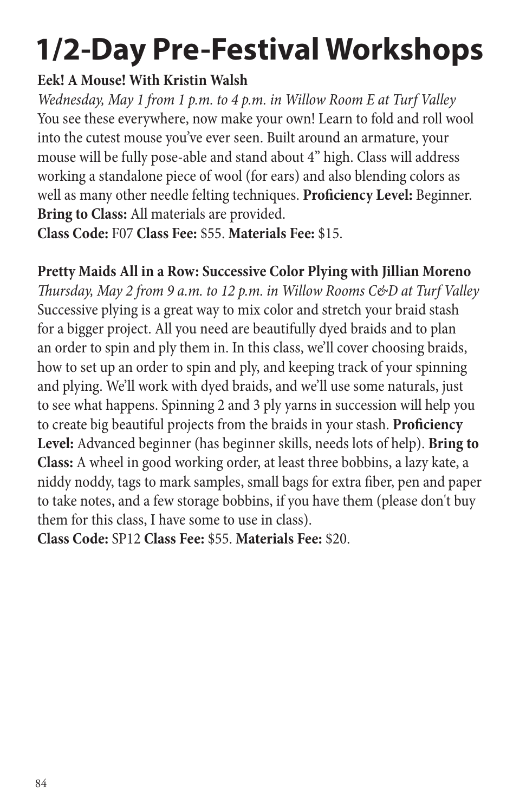#### **Eek! A Mouse! With Kristin Walsh**

*Wednesday, May 1 from 1 p.m. to 4 p.m. in Willow Room E at Turf Valley* You see these everywhere, now make your own! Learn to fold and roll wool into the cutest mouse you've ever seen. Built around an armature, your mouse will be fully pose-able and stand about 4" high. Class will address working a standalone piece of wool (for ears) and also blending colors as well as many other needle felting techniques. **Proficiency Level:** Beginner. **Bring to Class:** All materials are provided.

**Class Code:** F07 **Class Fee:** \$55. **Materials Fee:** \$15.

### **Pretty Maids All in a Row: Successive Color Plying with Jillian Moreno**

*Thursday, May 2 from 9 a.m. to 12 p.m. in Willow Rooms C&D at Turf Valley* Successive plying is a great way to mix color and stretch your braid stash for a bigger project. All you need are beautifully dyed braids and to plan an order to spin and ply them in. In this class, we'll cover choosing braids, how to set up an order to spin and ply, and keeping track of your spinning and plying. We'll work with dyed braids, and we'll use some naturals, just to see what happens. Spinning 2 and 3 ply yarns in succession will help you to create big beautiful projects from the braids in your stash. **Proficiency Level:** Advanced beginner (has beginner skills, needs lots of help). **Bring to Class:** A wheel in good working order, at least three bobbins, a lazy kate, a niddy noddy, tags to mark samples, small bags for extra fiber, pen and paper to take notes, and a few storage bobbins, if you have them (please don't buy them for this class, I have some to use in class).

**Class Code:** SP12 **Class Fee:** \$55. **Materials Fee:** \$20.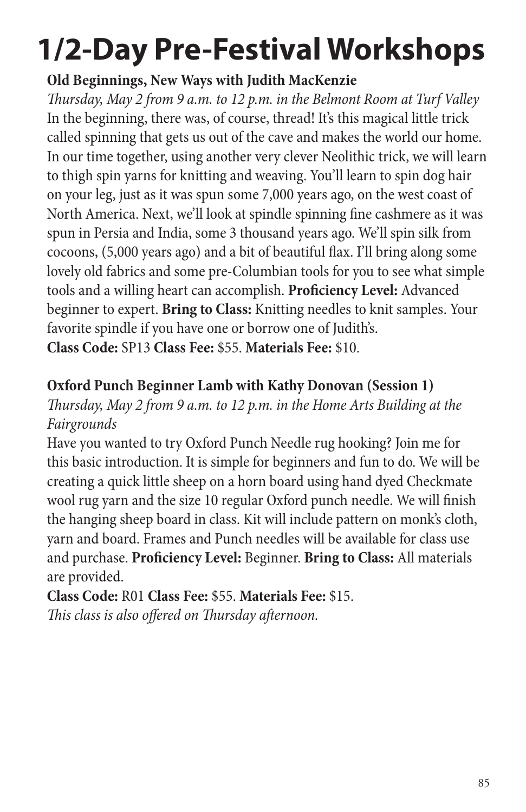### **Old Beginnings, New Ways with Judith MacKenzie**

*Thursday, May 2 from 9 a.m. to 12 p.m. in the Belmont Room at Turf Valley* In the beginning, there was, of course, thread! It's this magical little trick called spinning that gets us out of the cave and makes the world our home. In our time together, using another very clever Neolithic trick, we will learn to thigh spin yarns for knitting and weaving. You'll learn to spin dog hair on your leg, just as it was spun some 7,000 years ago, on the west coast of North America. Next, we'll look at spindle spinning fine cashmere as it was spun in Persia and India, some 3 thousand years ago. We'll spin silk from cocoons, (5,000 years ago) and a bit of beautiful flax. I'll bring along some lovely old fabrics and some pre-Columbian tools for you to see what simple tools and a willing heart can accomplish. **Proficiency Level:** Advanced beginner to expert. **Bring to Class:** Knitting needles to knit samples. Your favorite spindle if you have one or borrow one of Judith's. **Class Code:** SP13 **Class Fee:** \$55. **Materials Fee:** \$10.

#### **Oxford Punch Beginner Lamb with Kathy Donovan (Session 1)**

*Thursday, May 2 from 9 a.m. to 12 p.m. in the Home Arts Building at the Fairgrounds*

Have you wanted to try Oxford Punch Needle rug hooking? Join me for this basic introduction. It is simple for beginners and fun to do. We will be creating a quick little sheep on a horn board using hand dyed Checkmate wool rug yarn and the size 10 regular Oxford punch needle. We will finish the hanging sheep board in class. Kit will include pattern on monk's cloth, yarn and board. Frames and Punch needles will be available for class use and purchase. **Proficiency Level:** Beginner. **Bring to Class:** All materials are provided.

**Class Code:** R01 **Class Fee:** \$55. **Materials Fee:** \$15. *This class is also offered on Thursday afternoon.*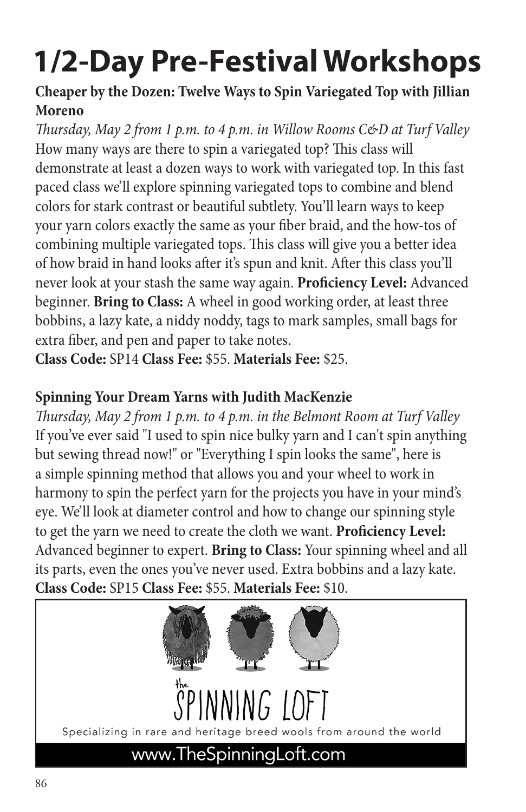#### **Cheaper by the Dozen: Twelve Ways to Spin Variegated Top with Jillian Moreno**

*Thursday, May 2 from 1 p.m. to 4 p.m. in Willow Rooms C&D at Turf Valley* How many ways are there to spin a variegated top? This class will demonstrate at least a dozen ways to work with variegated top. In this fast paced class we'll explore spinning variegated tops to combine and blend colors for stark contrast or beautiful subtlety. You'll learn ways to keep your yarn colors exactly the same as your fiber braid, and the how-tos of combining multiple variegated tops. This class will give you a better idea of how braid in hand looks after it's spun and knit. After this class you'll never look at your stash the same way again. **Proficiency Level:** Advanced beginner. **Bring to Class:** A wheel in good working order, at least three bobbins, a lazy kate, a niddy noddy, tags to mark samples, small bags for extra fiber, and pen and paper to take notes.

**Class Code:** SP14 **Class Fee:** \$55. **Materials Fee:** \$25.

### **Spinning Your Dream Yarns with Judith MacKenzie**

*Thursday, May 2 from 1 p.m. to 4 p.m. in the Belmont Room at Turf Valley* If you've ever said "I used to spin nice bulky yarn and I can't spin anything but sewing thread now!" or "Everything I spin looks the same", here is a simple spinning method that allows you and your wheel to work in harmony to spin the perfect yarn for the projects you have in your mind's eye. We'll look at diameter control and how to change our spinning style to get the yarn we need to create the cloth we want. **Proficiency Level:** Advanced beginner to expert. **Bring to Class:** Your spinning wheel and all its parts, even the ones you've never used. Extra bobbins and a lazy kate. **Class Code:** SP15 **Class Fee:** \$55. **Materials Fee:** \$10.

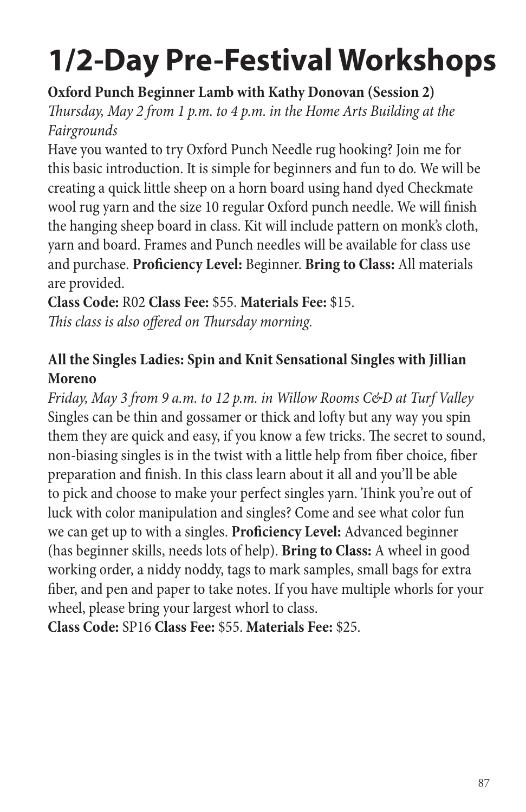**Oxford Punch Beginner Lamb with Kathy Donovan (Session 2)**

*Thursday, May 2 from 1 p.m. to 4 p.m. in the Home Arts Building at the Fairgrounds*

Have you wanted to try Oxford Punch Needle rug hooking? Join me for this basic introduction. It is simple for beginners and fun to do. We will be creating a quick little sheep on a horn board using hand dyed Checkmate wool rug yarn and the size 10 regular Oxford punch needle. We will finish the hanging sheep board in class. Kit will include pattern on monk's cloth, yarn and board. Frames and Punch needles will be available for class use and purchase. **Proficiency Level:** Beginner. **Bring to Class:** All materials are provided.

**Class Code:** R02 **Class Fee:** \$55. **Materials Fee:** \$15. *This class is also offered on Thursday morning.*

### **All the Singles Ladies: Spin and Knit Sensational Singles with Jillian Moreno**

*Friday, May 3 from 9 a.m. to 12 p.m. in Willow Rooms C&D at Turf Valley* Singles can be thin and gossamer or thick and lofty but any way you spin them they are quick and easy, if you know a few tricks. The secret to sound, non-biasing singles is in the twist with a little help from fiber choice, fiber preparation and finish. In this class learn about it all and you'll be able to pick and choose to make your perfect singles yarn. Think you're out of luck with color manipulation and singles? Come and see what color fun we can get up to with a singles. **Proficiency Level:** Advanced beginner (has beginner skills, needs lots of help). **Bring to Class:** A wheel in good working order, a niddy noddy, tags to mark samples, small bags for extra fiber, and pen and paper to take notes. If you have multiple whorls for your wheel, please bring your largest whorl to class.

**Class Code:** SP16 **Class Fee:** \$55. **Materials Fee:** \$25.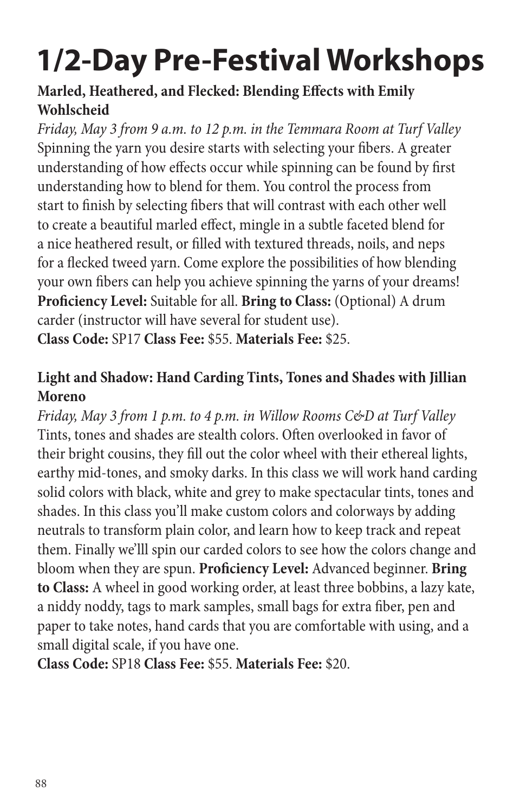### **Marled, Heathered, and Flecked: Blending Effects with Emily Wohlscheid**

*Friday, May 3 from 9 a.m. to 12 p.m. in the Temmara Room at Turf Valley* Spinning the yarn you desire starts with selecting your fibers. A greater understanding of how effects occur while spinning can be found by first understanding how to blend for them. You control the process from start to finish by selecting fibers that will contrast with each other well to create a beautiful marled effect, mingle in a subtle faceted blend for a nice heathered result, or filled with textured threads, noils, and neps for a flecked tweed yarn. Come explore the possibilities of how blending your own fibers can help you achieve spinning the yarns of your dreams! **Proficiency Level:** Suitable for all. **Bring to Class:** (Optional) A drum carder (instructor will have several for student use). **Class Code:** SP17 **Class Fee:** \$55. **Materials Fee:** \$25.

### **Light and Shadow: Hand Carding Tints, Tones and Shades with Jillian Moreno**

*Friday, May 3 from 1 p.m. to 4 p.m. in Willow Rooms C&D at Turf Valley* Tints, tones and shades are stealth colors. Often overlooked in favor of their bright cousins, they fill out the color wheel with their ethereal lights, earthy mid-tones, and smoky darks. In this class we will work hand carding solid colors with black, white and grey to make spectacular tints, tones and shades. In this class you'll make custom colors and colorways by adding neutrals to transform plain color, and learn how to keep track and repeat them. Finally we'lll spin our carded colors to see how the colors change and bloom when they are spun. **Proficiency Level:** Advanced beginner. **Bring to Class:** A wheel in good working order, at least three bobbins, a lazy kate, a niddy noddy, tags to mark samples, small bags for extra fiber, pen and paper to take notes, hand cards that you are comfortable with using, and a small digital scale, if you have one.

**Class Code:** SP18 **Class Fee:** \$55. **Materials Fee:** \$20.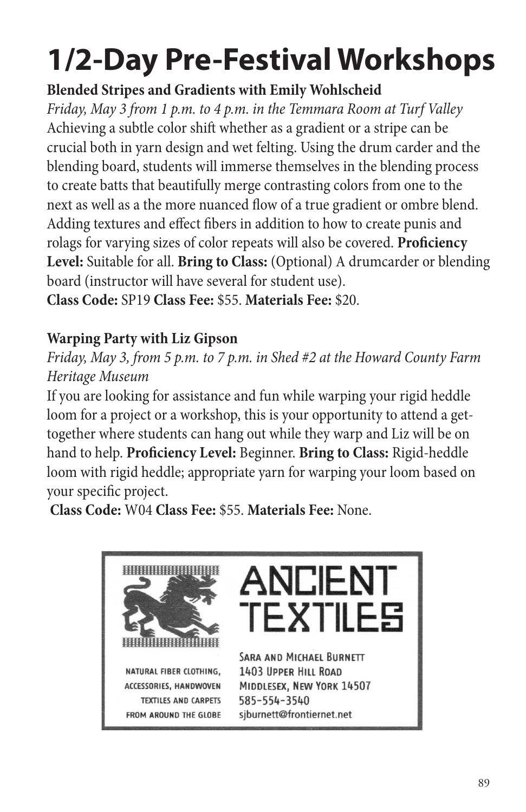### **Blended Stripes and Gradients with Emily Wohlscheid**

*Friday, May 3 from 1 p.m. to 4 p.m. in the Temmara Room at Turf Valley* Achieving a subtle color shift whether as a gradient or a stripe can be crucial both in yarn design and wet felting. Using the drum carder and the blending board, students will immerse themselves in the blending process to create batts that beautifully merge contrasting colors from one to the next as well as a the more nuanced flow of a true gradient or ombre blend. Adding textures and effect fibers in addition to how to create punis and rolags for varying sizes of color repeats will also be covered. **Proficiency Level:** Suitable for all. **Bring to Class:** (Optional) A drumcarder or blending board (instructor will have several for student use).

**Class Code:** SP19 **Class Fee:** \$55. **Materials Fee:** \$20.

### **Warping Party with Liz Gipson**

*Friday, May 3, from 5 p.m. to 7 p.m. in Shed #2 at the Howard County Farm Heritage Museum*

If you are looking for assistance and fun while warping your rigid heddle loom for a project or a workshop, this is your opportunity to attend a gettogether where students can hang out while they warp and Liz will be on hand to help. **Proficiency Level:** Beginner. **Bring to Class:** Rigid-heddle loom with rigid heddle; appropriate yarn for warping your loom based on your specific project.

**Class Code:** W04 **Class Fee:** \$55. **Materials Fee:** None.

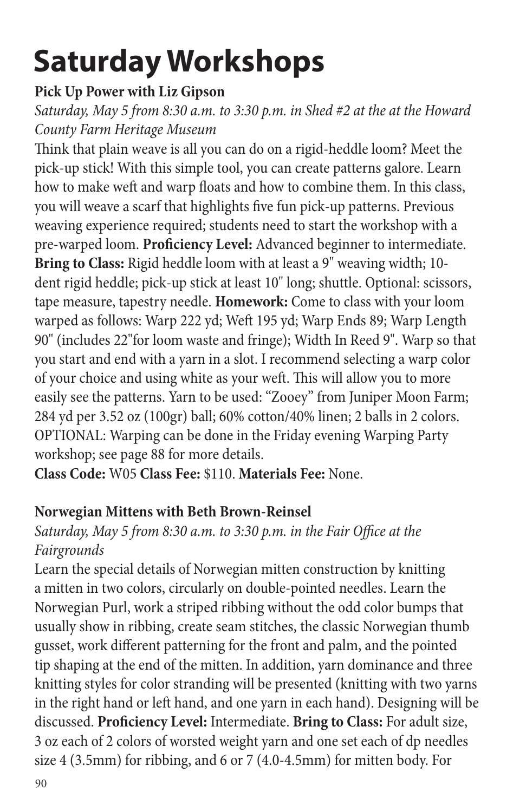#### **Pick Up Power with Liz Gipson**

*Saturday, May 5 from 8:30 a.m. to 3:30 p.m. in Shed #2 at the at the Howard County Farm Heritage Museum*

Think that plain weave is all you can do on a rigid-heddle loom? Meet the pick-up stick! With this simple tool, you can create patterns galore. Learn how to make weft and warp floats and how to combine them. In this class, you will weave a scarf that highlights five fun pick-up patterns. Previous weaving experience required; students need to start the workshop with a pre-warped loom. **Proficiency Level:** Advanced beginner to intermediate. **Bring to Class:** Rigid heddle loom with at least a 9" weaving width; 10 dent rigid heddle; pick-up stick at least 10" long; shuttle. Optional: scissors, tape measure, tapestry needle. **Homework:** Come to class with your loom warped as follows: Warp 222 yd; Weft 195 yd; Warp Ends 89; Warp Length 90" (includes 22"for loom waste and fringe); Width In Reed 9". Warp so that you start and end with a yarn in a slot. I recommend selecting a warp color of your choice and using white as your weft. This will allow you to more easily see the patterns. Yarn to be used: "Zooey" from Juniper Moon Farm; 284 yd per 3.52 oz (100gr) ball; 60% cotton/40% linen; 2 balls in 2 colors. OPTIONAL: Warping can be done in the Friday evening Warping Party workshop; see page 88 for more details.

**Class Code:** W05 **Class Fee:** \$110. **Materials Fee:** None.

#### **Norwegian Mittens with Beth Brown-Reinsel**

#### *Saturday, May 5 from 8:30 a.m. to 3:30 p.m. in the Fair Office at the Fairgrounds*

Learn the special details of Norwegian mitten construction by knitting a mitten in two colors, circularly on double-pointed needles. Learn the Norwegian Purl, work a striped ribbing without the odd color bumps that usually show in ribbing, create seam stitches, the classic Norwegian thumb gusset, work different patterning for the front and palm, and the pointed tip shaping at the end of the mitten. In addition, yarn dominance and three knitting styles for color stranding will be presented (knitting with two yarns in the right hand or left hand, and one yarn in each hand). Designing will be discussed. **Proficiency Level:** Intermediate. **Bring to Class:** For adult size, 3 oz each of 2 colors of worsted weight yarn and one set each of dp needles size 4 (3.5mm) for ribbing, and 6 or 7 (4.0-4.5mm) for mitten body. For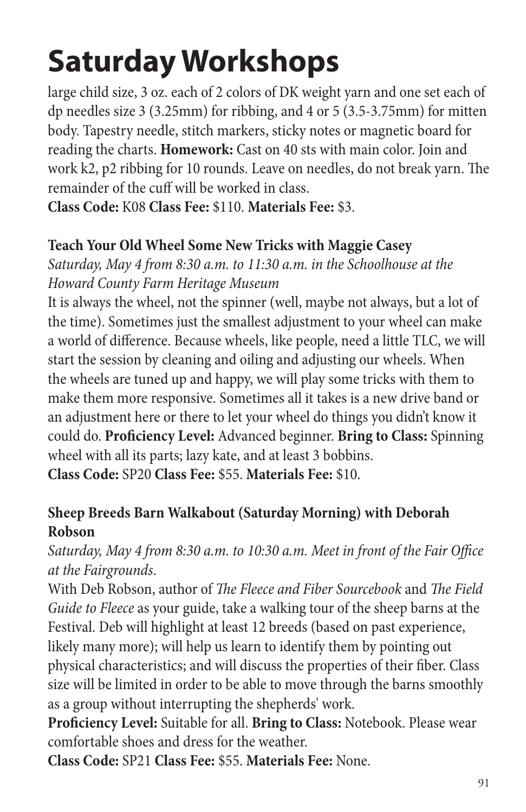large child size, 3 oz. each of 2 colors of DK weight yarn and one set each of dp needles size 3 (3.25mm) for ribbing, and 4 or 5 (3.5-3.75mm) for mitten body. Tapestry needle, stitch markers, sticky notes or magnetic board for reading the charts. **Homework:** Cast on 40 sts with main color. Join and work k2, p2 ribbing for 10 rounds. Leave on needles, do not break yarn. The remainder of the cuff will be worked in class.

**Class Code:** K08 **Class Fee:** \$110. **Materials Fee:** \$3.

#### **Teach Your Old Wheel Some New Tricks with Maggie Casey**

*Saturday, May 4 from 8:30 a.m. to 11:30 a.m. in the Schoolhouse at the Howard County Farm Heritage Museum*

It is always the wheel, not the spinner (well, maybe not always, but a lot of the time). Sometimes just the smallest adjustment to your wheel can make a world of difference. Because wheels, like people, need a little TLC, we will start the session by cleaning and oiling and adjusting our wheels. When the wheels are tuned up and happy, we will play some tricks with them to make them more responsive. Sometimes all it takes is a new drive band or an adjustment here or there to let your wheel do things you didn't know it could do. **Proficiency Level:** Advanced beginner. **Bring to Class:** Spinning wheel with all its parts; lazy kate, and at least 3 bobbins. **Class Code:** SP20 **Class Fee:** \$55. **Materials Fee:** \$10.

#### **Sheep Breeds Barn Walkabout (Saturday Morning) with Deborah Robson**

*Saturday, May 4 from 8:30 a.m. to 10:30 a.m. Meet in front of the Fair Office at the Fairgrounds*.

With Deb Robson, author of *The Fleece and Fiber Sourcebook* and *The Field Guide to Fleece* as your guide, take a walking tour of the sheep barns at the Festival. Deb will highlight at least 12 breeds (based on past experience, likely many more); will help us learn to identify them by pointing out physical characteristics; and will discuss the properties of their fiber. Class size will be limited in order to be able to move through the barns smoothly as a group without interrupting the shepherds' work.

**Proficiency Level:** Suitable for all. **Bring to Class:** Notebook. Please wear comfortable shoes and dress for the weather.

**Class Code:** SP21 **Class Fee:** \$55. **Materials Fee:** None.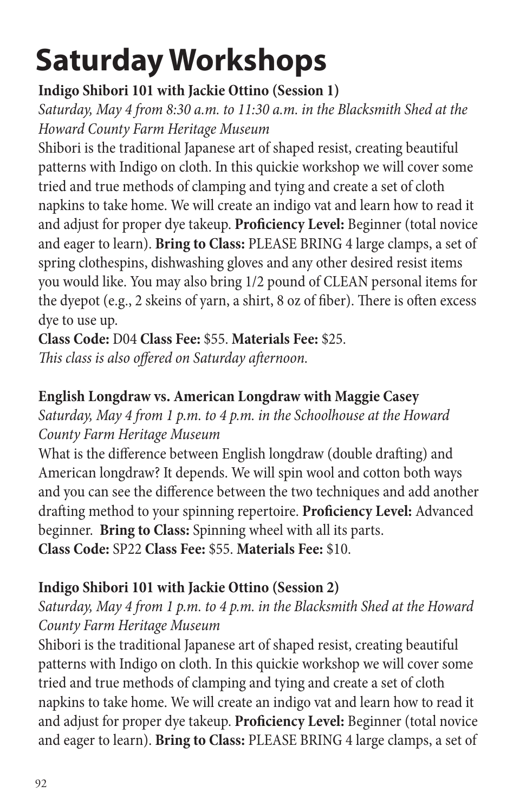### **Indigo Shibori 101 with Jackie Ottino (Session 1)**

*Saturday, May 4 from 8:30 a.m. to 11:30 a.m. in the Blacksmith Shed at the Howard County Farm Heritage Museum*

Shibori is the traditional Japanese art of shaped resist, creating beautiful patterns with Indigo on cloth. In this quickie workshop we will cover some tried and true methods of clamping and tying and create a set of cloth napkins to take home. We will create an indigo vat and learn how to read it and adjust for proper dye takeup. **Proficiency Level:** Beginner (total novice and eager to learn). **Bring to Class:** PLEASE BRING 4 large clamps, a set of spring clothespins, dishwashing gloves and any other desired resist items you would like. You may also bring 1/2 pound of CLEAN personal items for the dyepot (e.g., 2 skeins of yarn, a shirt, 8 oz of fiber). There is often excess dye to use up.

**Class Code:** D04 **Class Fee:** \$55. **Materials Fee:** \$25. *This class is also offered on Saturday afternoon.*

### **English Longdraw vs. American Longdraw with Maggie Casey**

*Saturday, May 4 from 1 p.m. to 4 p.m. in the Schoolhouse at the Howard County Farm Heritage Museum*

What is the difference between English longdraw (double drafting) and American longdraw? It depends. We will spin wool and cotton both ways and you can see the difference between the two techniques and add another drafting method to your spinning repertoire. **Proficiency Level:** Advanced beginner. **Bring to Class:** Spinning wheel with all its parts. **Class Code:** SP22 **Class Fee:** \$55. **Materials Fee:** \$10.

### **Indigo Shibori 101 with Jackie Ottino (Session 2)**

### *Saturday, May 4 from 1 p.m. to 4 p.m. in the Blacksmith Shed at the Howard County Farm Heritage Museum*

Shibori is the traditional Japanese art of shaped resist, creating beautiful patterns with Indigo on cloth. In this quickie workshop we will cover some tried and true methods of clamping and tying and create a set of cloth napkins to take home. We will create an indigo vat and learn how to read it and adjust for proper dye takeup. **Proficiency Level:** Beginner (total novice and eager to learn). **Bring to Class:** PLEASE BRING 4 large clamps, a set of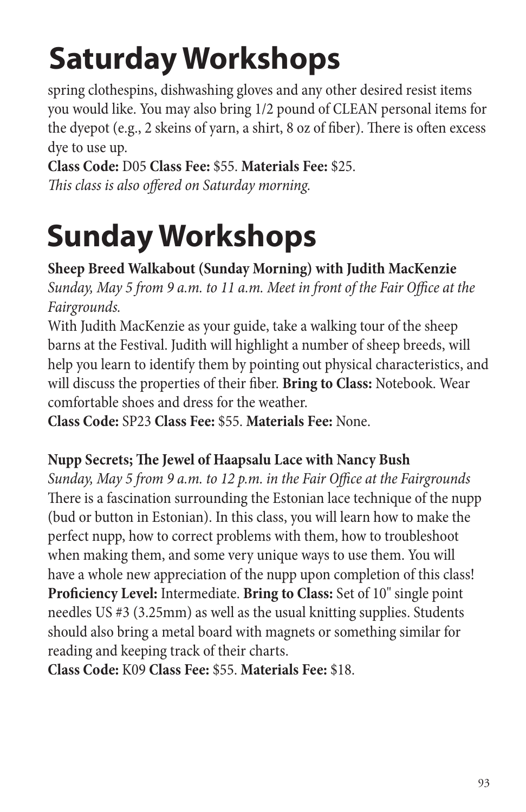spring clothespins, dishwashing gloves and any other desired resist items you would like. You may also bring 1/2 pound of CLEAN personal items for the dyepot (e.g., 2 skeins of yarn, a shirt, 8 oz of fiber). There is often excess dye to use up.

**Class Code:** D05 **Class Fee:** \$55. **Materials Fee:** \$25. *This class is also offered on Saturday morning.*

# **Sunday Workshops**

**Sheep Breed Walkabout (Sunday Morning) with Judith MacKenzie** *Sunday, May 5 from 9 a.m. to 11 a.m. Meet in front of the Fair Office at the Fairgrounds.*

With Judith MacKenzie as your guide, take a walking tour of the sheep barns at the Festival. Judith will highlight a number of sheep breeds, will help you learn to identify them by pointing out physical characteristics, and will discuss the properties of their fiber. **Bring to Class:** Notebook. Wear comfortable shoes and dress for the weather.

**Class Code:** SP23 **Class Fee:** \$55. **Materials Fee:** None.

### **Nupp Secrets; The Jewel of Haapsalu Lace with Nancy Bush**

*Sunday, May 5 from 9 a.m. to 12 p.m. in the Fair Office at the Fairgrounds* There is a fascination surrounding the Estonian lace technique of the nupp (bud or button in Estonian). In this class, you will learn how to make the perfect nupp, how to correct problems with them, how to troubleshoot when making them, and some very unique ways to use them. You will have a whole new appreciation of the nupp upon completion of this class! **Proficiency Level:** Intermediate. **Bring to Class:** Set of 10" single point needles US #3 (3.25mm) as well as the usual knitting supplies. Students should also bring a metal board with magnets or something similar for reading and keeping track of their charts.

**Class Code:** K09 **Class Fee:** \$55. **Materials Fee:** \$18.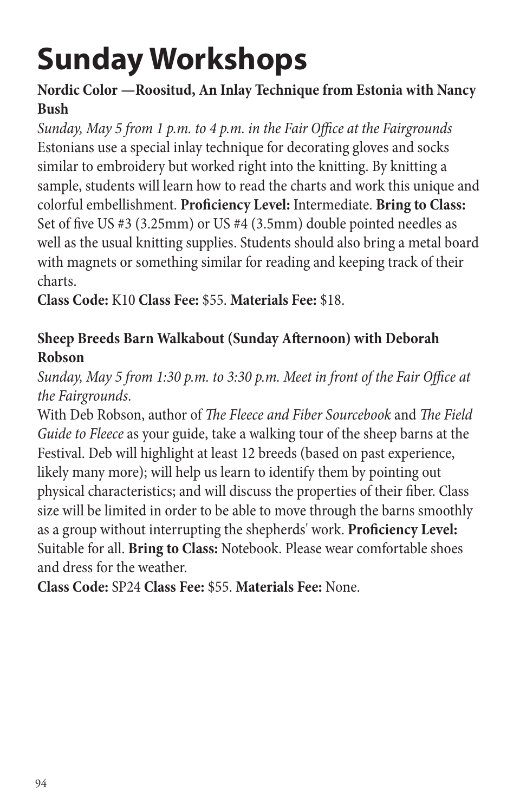# **Sunday Workshops**

### **Nordic Color —Roositud, An Inlay Technique from Estonia with Nancy Bush**

*Sunday, May 5 from 1 p.m. to 4 p.m. in the Fair Office at the Fairgrounds* Estonians use a special inlay technique for decorating gloves and socks similar to embroidery but worked right into the knitting. By knitting a sample, students will learn how to read the charts and work this unique and colorful embellishment. **Proficiency Level:** Intermediate. **Bring to Class:** Set of five US #3 (3.25mm) or US #4 (3.5mm) double pointed needles as well as the usual knitting supplies. Students should also bring a metal board with magnets or something similar for reading and keeping track of their charts.

**Class Code:** K10 **Class Fee:** \$55. **Materials Fee:** \$18.

### **Sheep Breeds Barn Walkabout (Sunday Afternoon) with Deborah Robson**

*Sunday, May 5 from 1:30 p.m. to 3:30 p.m. Meet in front of the Fair Office at the Fairgrounds*.

With Deb Robson, author of *The Fleece and Fiber Sourcebook* and *The Field Guide to Fleece* as your guide, take a walking tour of the sheep barns at the Festival. Deb will highlight at least 12 breeds (based on past experience, likely many more); will help us learn to identify them by pointing out physical characteristics; and will discuss the properties of their fiber. Class size will be limited in order to be able to move through the barns smoothly as a group without interrupting the shepherds' work. **Proficiency Level:**  Suitable for all. **Bring to Class:** Notebook. Please wear comfortable shoes and dress for the weather.

**Class Code:** SP24 **Class Fee:** \$55. **Materials Fee:** None.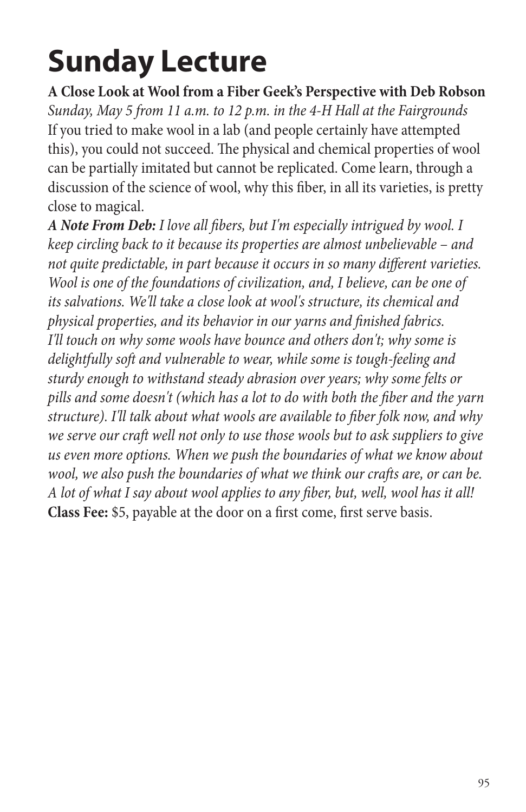### **Sunday Lecture**

**A Close Look at Wool from a Fiber Geek's Perspective with Deb Robson** *Sunday, May 5 from 11 a.m. to 12 p.m. in the 4-H Hall at the Fairgrounds* If you tried to make wool in a lab (and people certainly have attempted this), you could not succeed. The physical and chemical properties of wool can be partially imitated but cannot be replicated. Come learn, through a discussion of the science of wool, why this fiber, in all its varieties, is pretty close to magical.

*A Note From Deb: I love all fibers, but I'm especially intrigued by wool. I keep circling back to it because its properties are almost unbelievable – and not quite predictable, in part because it occurs in so many different varieties. Wool is one of the foundations of civilization, and, I believe, can be one of its salvations. We'll take a close look at wool's structure, its chemical and physical properties, and its behavior in our yarns and finished fabrics. I'll touch on why some wools have bounce and others don't; why some is delightfully soft and vulnerable to wear, while some is tough-feeling and sturdy enough to withstand steady abrasion over years; why some felts or pills and some doesn't (which has a lot to do with both the fiber and the yarn structure). I'll talk about what wools are available to fiber folk now, and why we serve our craft well not only to use those wools but to ask suppliers to give us even more options. When we push the boundaries of what we know about wool, we also push the boundaries of what we think our crafts are, or can be. A lot of what I say about wool applies to any fiber, but, well, wool has it all!* **Class Fee:** \$5, payable at the door on a first come, first serve basis.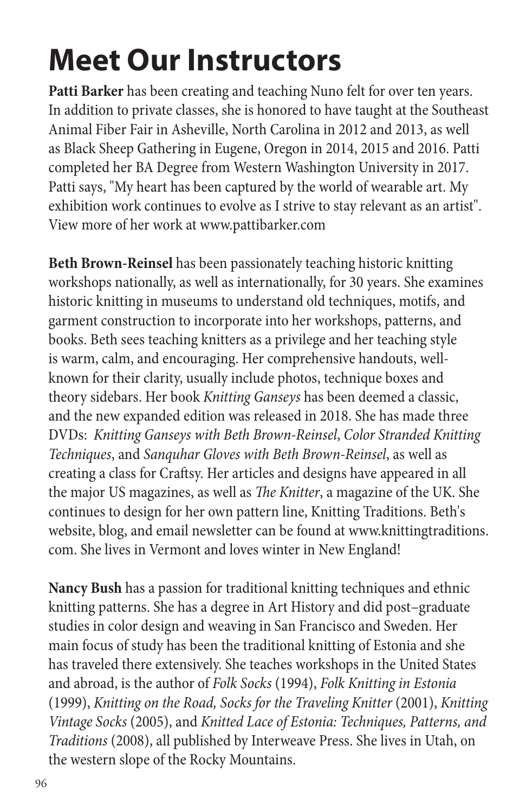**Patti Barker** has been creating and teaching Nuno felt for over ten years. In addition to private classes, she is honored to have taught at the Southeast Animal Fiber Fair in Asheville, North Carolina in 2012 and 2013, as well as Black Sheep Gathering in Eugene, Oregon in 2014, 2015 and 2016. Patti completed her BA Degree from Western Washington University in 2017. Patti says, "My heart has been captured by the world of wearable art. My exhibition work continues to evolve as I strive to stay relevant as an artist". View more of her work at www.pattibarker.com

**Beth Brown-Reinsel** has been passionately teaching historic knitting workshops nationally, as well as internationally, for 30 years. She examines historic knitting in museums to understand old techniques, motifs, and garment construction to incorporate into her workshops, patterns, and books. Beth sees teaching knitters as a privilege and her teaching style is warm, calm, and encouraging. Her comprehensive handouts, wellknown for their clarity, usually include photos, technique boxes and theory sidebars. Her book *Knitting Ganseys* has been deemed a classic, and the new expanded edition was released in 2018. She has made three DVDs: *Knitting Ganseys with Beth Brown-Reinsel*, *Color Stranded Knitting Techniques*, and *Sanquhar Gloves with Beth Brown-Reinsel*, as well as creating a class for Craftsy. Her articles and designs have appeared in all the major US magazines, as well as *The Knitter*, a magazine of the UK. She continues to design for her own pattern line, Knitting Traditions. Beth's website, blog, and email newsletter can be found at www.knittingtraditions. com. She lives in Vermont and loves winter in New England!

**Nancy Bush** has a passion for traditional knitting techniques and ethnic knitting patterns. She has a degree in Art History and did post–graduate studies in color design and weaving in San Francisco and Sweden. Her main focus of study has been the traditional knitting of Estonia and she has traveled there extensively. She teaches workshops in the United States and abroad, is the author of *Folk Socks* (1994), *Folk Knitting in Estonia* (1999), *Knitting on the Road, Socks for the Traveling Knitter* (2001), *Knitting Vintage Socks* (2005), and *Knitted Lace of Estonia: Techniques, Patterns, and Traditions* (2008), all published by Interweave Press. She lives in Utah, on the western slope of the Rocky Mountains.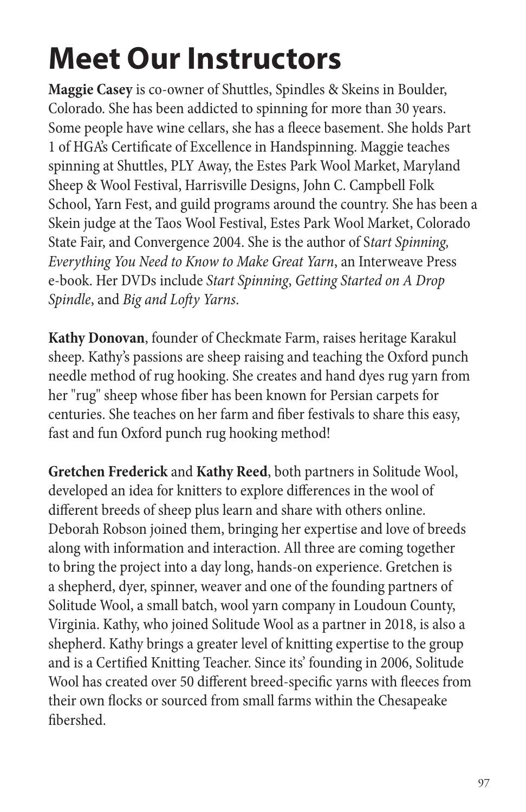**Maggie Casey** is co-owner of Shuttles, Spindles & Skeins in Boulder, Colorado. She has been addicted to spinning for more than 30 years. Some people have wine cellars, she has a fleece basement. She holds Part 1 of HGA's Certificate of Excellence in Handspinning. Maggie teaches spinning at Shuttles, PLY Away, the Estes Park Wool Market, Maryland Sheep & Wool Festival, Harrisville Designs, John C. Campbell Folk School, Yarn Fest, and guild programs around the country. She has been a Skein judge at the Taos Wool Festival, Estes Park Wool Market, Colorado State Fair, and Convergence 2004. She is the author of S*tart Spinning, Everything You Need to Know to Make Great Yarn*, an Interweave Press e-book. Her DVDs include *Start Spinning*, *Getting Started on A Drop Spindle*, and *Big and Lofty Yarns*.

**Kathy Donovan**, founder of Checkmate Farm, raises heritage Karakul sheep. Kathy's passions are sheep raising and teaching the Oxford punch needle method of rug hooking. She creates and hand dyes rug yarn from her "rug" sheep whose fiber has been known for Persian carpets for centuries. She teaches on her farm and fiber festivals to share this easy, fast and fun Oxford punch rug hooking method!

**Gretchen Frederick** and **Kathy Reed**, both partners in Solitude Wool, developed an idea for knitters to explore differences in the wool of different breeds of sheep plus learn and share with others online. Deborah Robson joined them, bringing her expertise and love of breeds along with information and interaction. All three are coming together to bring the project into a day long, hands-on experience. Gretchen is a shepherd, dyer, spinner, weaver and one of the founding partners of Solitude Wool, a small batch, wool yarn company in Loudoun County, Virginia. Kathy, who joined Solitude Wool as a partner in 2018, is also a shepherd. Kathy brings a greater level of knitting expertise to the group and is a Certified Knitting Teacher. Since its' founding in 2006, Solitude Wool has created over 50 different breed-specific yarns with fleeces from their own flocks or sourced from small farms within the Chesapeake fibershed.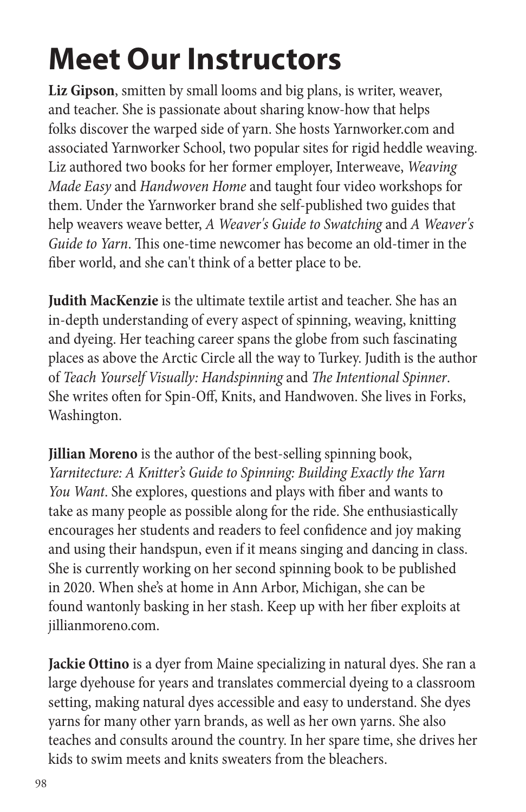**Liz Gipson**, smitten by small looms and big plans, is writer, weaver, and teacher. She is passionate about sharing know-how that helps folks discover the warped side of yarn. She hosts Yarnworker.com and associated Yarnworker School, two popular sites for rigid heddle weaving. Liz authored two books for her former employer, Interweave, *Weaving Made Easy* and *Handwoven Home* and taught four video workshops for them. Under the Yarnworker brand she self-published two guides that help weavers weave better, *A Weaver's Guide to Swatching* and *A Weaver's Guide to Yarn*. This one-time newcomer has become an old-timer in the fiber world, and she can't think of a better place to be.

**Judith MacKenzie** is the ultimate textile artist and teacher. She has an in-depth understanding of every aspect of spinning, weaving, knitting and dyeing. Her teaching career spans the globe from such fascinating places as above the Arctic Circle all the way to Turkey. Judith is the author of *Teach Yourself Visually: Handspinning* and *The Intentional Spinner*. She writes often for Spin-Off, Knits, and Handwoven. She lives in Forks, Washington.

**Jillian Moreno** is the author of the best-selling spinning book, *Yarnitecture: A Knitter's Guide to Spinning: Building Exactly the Yarn You Want*. She explores, questions and plays with fiber and wants to take as many people as possible along for the ride. She enthusiastically encourages her students and readers to feel confidence and joy making and using their handspun, even if it means singing and dancing in class. She is currently working on her second spinning book to be published in 2020. When she's at home in Ann Arbor, Michigan, she can be found wantonly basking in her stash. Keep up with her fiber exploits at jillianmoreno.com.

**Jackie Ottino** is a dyer from Maine specializing in natural dyes. She ran a large dyehouse for years and translates commercial dyeing to a classroom setting, making natural dyes accessible and easy to understand. She dyes yarns for many other yarn brands, as well as her own yarns. She also teaches and consults around the country. In her spare time, she drives her kids to swim meets and knits sweaters from the bleachers.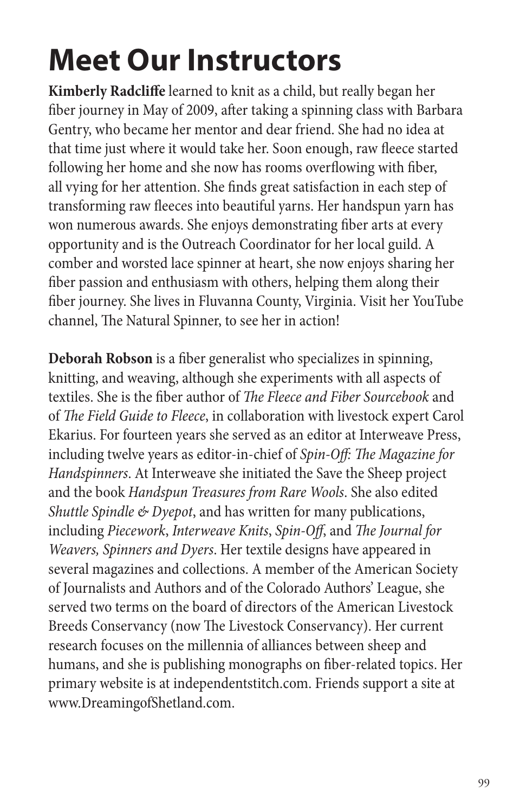**Kimberly Radcliffe** learned to knit as a child, but really began her fiber journey in May of 2009, after taking a spinning class with Barbara Gentry, who became her mentor and dear friend. She had no idea at that time just where it would take her. Soon enough, raw fleece started following her home and she now has rooms overflowing with fiber, all vying for her attention. She finds great satisfaction in each step of transforming raw fleeces into beautiful yarns. Her handspun yarn has won numerous awards. She enjoys demonstrating fiber arts at every opportunity and is the Outreach Coordinator for her local guild. A comber and worsted lace spinner at heart, she now enjoys sharing her fiber passion and enthusiasm with others, helping them along their fiber journey. She lives in Fluvanna County, Virginia. Visit her YouTube channel, The Natural Spinner, to see her in action!

**Deborah Robson** is a fiber generalist who specializes in spinning, knitting, and weaving, although she experiments with all aspects of textiles. She is the fiber author of *The Fleece and Fiber Sourcebook* and of *The Field Guide to Fleece*, in collaboration with livestock expert Carol Ekarius. For fourteen years she served as an editor at Interweave Press, including twelve years as editor-in-chief of *Spin-Off: The Magazine for Handspinners*. At Interweave she initiated the Save the Sheep project and the book *Handspun Treasures from Rare Wools*. She also edited *Shuttle Spindle & Dyepot*, and has written for many publications, including *Piecework*, *Interweave Knits*, *Spin-Off*, and *The Journal for Weavers, Spinners and Dyers*. Her textile designs have appeared in several magazines and collections. A member of the American Society of Journalists and Authors and of the Colorado Authors' League, she served two terms on the board of directors of the American Livestock Breeds Conservancy (now The Livestock Conservancy). Her current research focuses on the millennia of alliances between sheep and humans, and she is publishing monographs on fiber-related topics. Her primary website is at independentstitch.com. Friends support a site at www.DreamingofShetland.com.